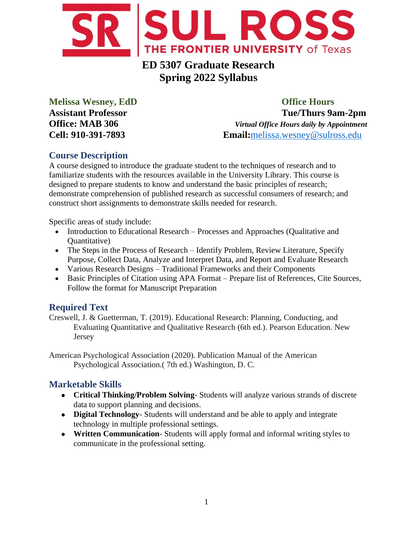

# **ED 5307 Graduate Research Spring 2022 Syllabus**

**Melissa Wesney, EdD Office Hours Assistant Professor Tue/Thurs 9am-2pm Office: MAB 306** *Virtual Office Hours daily by Appointment* **Cell: 910-391-7893 Email:**[melissa.wesney@sulross.edu](mailto:melissa.wesney@sulross.edu)

## **Course Description**

A course designed to introduce the graduate student to the techniques of research and to familiarize students with the resources available in the University Library. This course is designed to prepare students to know and understand the basic principles of research; demonstrate comprehension of published research as successful consumers of research; and construct short assignments to demonstrate skills needed for research.

Specific areas of study include:

- Introduction to Educational Research Processes and Approaches (Qualitative and Quantitative)
- The Steps in the Process of Research Identify Problem, Review Literature, Specify Purpose, Collect Data, Analyze and Interpret Data, and Report and Evaluate Research
- Various Research Designs Traditional Frameworks and their Components
- Basic Principles of Citation using APA Format Prepare list of References, Cite Sources, Follow the format for Manuscript Preparation

## **Required Text**

Creswell, J. & Guetterman, T. (2019). Educational Research: Planning, Conducting, and Evaluating Quantitative and Qualitative Research (6th ed.). Pearson Education. New Jersey

American Psychological Association (2020). Publication Manual of the American Psychological Association.( 7th ed.) Washington, D. C.

## **Marketable Skills**

- **Critical Thinking/Problem Solving** Students will analyze various strands of discrete data to support planning and decisions.
- **Digital Technology** Students will understand and be able to apply and integrate technology in multiple professional settings.
- **Written Communication** Students will apply formal and informal writing styles to communicate in the professional setting.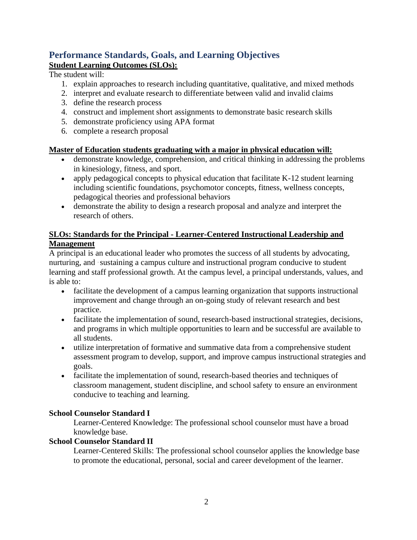## **Performance Standards, Goals, and Learning Objectives Student Learning Outcomes (SLOs):**

The student will:

- 1. explain approaches to research including quantitative, qualitative, and mixed methods
- 2. interpret and evaluate research to differentiate between valid and invalid claims
- 3. define the research process
- 4. construct and implement short assignments to demonstrate basic research skills
- 5. demonstrate proficiency using APA format
- 6. complete a research proposal

## **Master of Education students graduating with a major in physical education will:**

- demonstrate knowledge, comprehension, and critical thinking in addressing the problems in kinesiology, fitness, and sport.
- apply pedagogical concepts to physical education that facilitate K-12 student learning including scientific foundations, psychomotor concepts, fitness, wellness concepts, pedagogical theories and professional behaviors
- demonstrate the ability to design a research proposal and analyze and interpret the research of others.

## **SLOs: Standards for the Principal - Learner-Centered Instructional Leadership and Management**

A principal is an educational leader who promotes the success of all students by advocating, nurturing, and ·sustaining a campus culture and instructional program conducive to student learning and staff professional growth. At the campus level, a principal understands, values, and is able to:

- facilitate the development of a campus learning organization that supports instructional improvement and change through an on-going study of relevant research and best practice.
- facilitate the implementation of sound, research-based instructional strategies, decisions, and programs in which multiple opportunities to learn and be successful are available to all students.
- utilize interpretation of formative and summative data from a comprehensive student assessment program to develop, support, and improve campus instructional strategies and goals.
- facilitate the implementation of sound, research-based theories and techniques of classroom management, student discipline, and school safety to ensure an environment conducive to teaching and learning.

## **School Counselor Standard I**

Learner-Centered Knowledge: The professional school counselor must have a broad knowledge base.

### **School Counselor Standard II**

Learner-Centered Skills: The professional school counselor applies the knowledge base to promote the educational, personal, social and career development of the learner.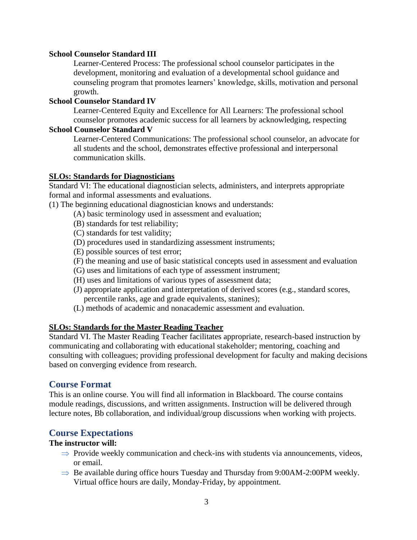#### **School Counselor Standard III**

Learner-Centered Process: The professional school counselor participates in the development, monitoring and evaluation of a developmental school guidance and counseling program that promotes learners' knowledge, skills, motivation and personal growth.

#### **School Counselor Standard IV**

Learner-Centered Equity and Excellence for All Learners: The professional school counselor promotes academic success for all learners by acknowledging, respecting

#### **School Counselor Standard V**

Learner-Centered Communications: The professional school counselor, an advocate for all students and the school, demonstrates effective professional and interpersonal communication skills.

#### **SLOs: Standards for Diagnosticians**

Standard VI: The educational diagnostician selects, administers, and interprets appropriate formal and informal assessments and evaluations.

(1) The beginning educational diagnostician knows and understands:

- (A) basic terminology used in assessment and evaluation;
- (B) standards for test reliability;
- (C) standards for test validity;
- (D) procedures used in standardizing assessment instruments;
- (E) possible sources of test error;
- (F) the meaning and use of basic statistical concepts used in assessment and evaluation
- (G) uses and limitations of each type of assessment instrument;
- (H) uses and limitations of various types of assessment data;
- (J) appropriate application and interpretation of derived scores (e.g., standard scores, percentile ranks, age and grade equivalents, stanines);
- (L) methods of academic and nonacademic assessment and evaluation.

#### **SLOs: Standards for the Master Reading Teacher**

Standard VI. The Master Reading Teacher facilitates appropriate, research-based instruction by communicating and collaborating with educational stakeholder; mentoring, coaching and consulting with colleagues; providing professional development for faculty and making decisions based on converging evidence from research.

### **Course Format**

This is an online course. You will find all information in Blackboard. The course contains module readings, discussions, and written assignments. Instruction will be delivered through lecture notes, Bb collaboration, and individual/group discussions when working with projects.

### **Course Expectations**

#### **The instructor will:**

- $\Rightarrow$  Provide weekly communication and check-ins with students via announcements, videos, or email.
- $\Rightarrow$  Be available during office hours Tuesday and Thursday from 9:00AM-2:00PM weekly. Virtual office hours are daily, Monday-Friday, by appointment.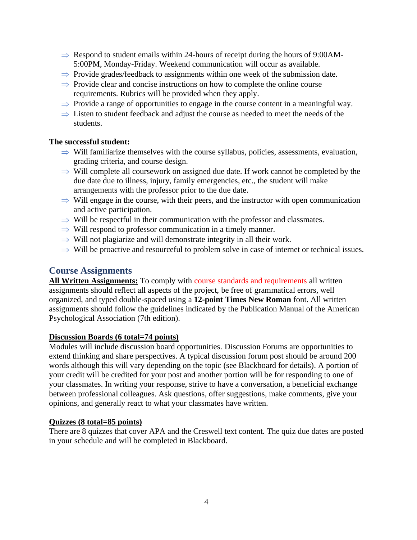- $\Rightarrow$  Respond to student emails within 24-hours of receipt during the hours of 9:00AM-5:00PM, Monday-Friday. Weekend communication will occur as available.
- $\Rightarrow$  Provide grades/feedback to assignments within one week of the submission date.
- $\Rightarrow$  Provide clear and concise instructions on how to complete the online course requirements. Rubrics will be provided when they apply.
- $\Rightarrow$  Provide a range of opportunities to engage in the course content in a meaningful way.
- $\Rightarrow$  Listen to student feedback and adjust the course as needed to meet the needs of the students.

#### **The successful student:**

- $\Rightarrow$  Will familiarize themselves with the course syllabus, policies, assessments, evaluation, grading criteria, and course design.
- $\Rightarrow$  Will complete all coursework on assigned due date. If work cannot be completed by the due date due to illness, injury, family emergencies, etc., the student will make arrangements with the professor prior to the due date.
- $\Rightarrow$  Will engage in the course, with their peers, and the instructor with open communication and active participation.
- $\Rightarrow$  Will be respectful in their communication with the professor and classmates.
- $\Rightarrow$  Will respond to professor communication in a timely manner.
- $\Rightarrow$  Will not plagiarize and will demonstrate integrity in all their work.
- $\Rightarrow$  Will be proactive and resourceful to problem solve in case of internet or technical issues.

### **Course Assignments**

All Written Assignments: To comply with course standards and requirements all written assignments should reflect all aspects of the project, be free of grammatical errors, well organized, and typed double-spaced using a **12-point Times New Roman** font. All written assignments should follow the guidelines indicated by the Publication Manual of the American Psychological Association (7th edition).

#### **Discussion Boards (6 total=74 points)**

Modules will include discussion board opportunities. Discussion Forums are opportunities to extend thinking and share perspectives. A typical discussion forum post should be around 200 words although this will vary depending on the topic (see Blackboard for details). A portion of your credit will be credited for your post and another portion will be for responding to one of your classmates. In writing your response, strive to have a conversation, a beneficial exchange between professional colleagues. Ask questions, offer suggestions, make comments, give your opinions, and generally react to what your classmates have written.

#### **Quizzes (8 total=85 points)**

There are 8 quizzes that cover APA and the Creswell text content. The quiz due dates are posted in your schedule and will be completed in Blackboard.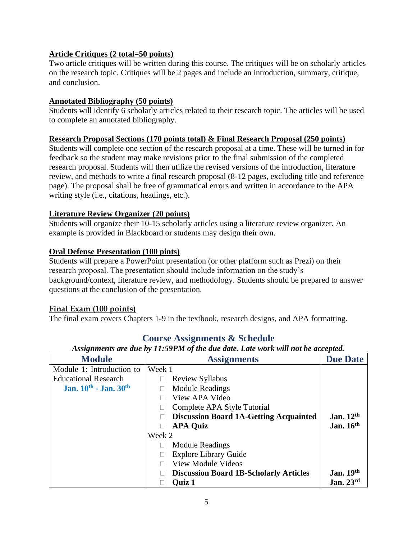## **Article Critiques (2 total=50 points)**

Two article critiques will be written during this course. The critiques will be on scholarly articles on the research topic. Critiques will be 2 pages and include an introduction, summary, critique, and conclusion.

#### **Annotated Bibliography (50 points)**

Students will identify 6 scholarly articles related to their research topic. The articles will be used to complete an annotated bibliography.

#### **Research Proposal Sections (170 points total) & Final Research Proposal (250 points)**

Students will complete one section of the research proposal at a time. These will be turned in for feedback so the student may make revisions prior to the final submission of the completed research proposal. Students will then utilize the revised versions of the introduction, literature review, and methods to write a final research proposal (8-12 pages, excluding title and reference page). The proposal shall be free of grammatical errors and written in accordance to the APA writing style (i.e., citations, headings, etc.).

### **Literature Review Organizer (20 points)**

Students will organize their 10-15 scholarly articles using a literature review organizer. An example is provided in Blackboard or students may design their own.

### **Oral Defense Presentation (100 pints)**

Students will prepare a PowerPoint presentation (or other platform such as Prezi) on their research proposal. The presentation should include information on the study's background/context, literature review, and methodology. Students should be prepared to answer questions at the conclusion of the presentation.

### **Final Exam (100 points)**

The final exam covers Chapters 1-9 in the textbook, research designs, and APA formatting.

| <b>Module</b>               | <b>Assignments</b>                                 | <b>Due Date</b>       |
|-----------------------------|----------------------------------------------------|-----------------------|
| Module 1: Introduction to   | Week 1                                             |                       |
| <b>Educational Research</b> | <b>Review Syllabus</b>                             |                       |
| Jan. 10th - Jan. 30th       | <b>Module Readings</b><br>٠                        |                       |
|                             | View APA Video<br>٠                                |                       |
|                             | Complete APA Style Tutorial<br>٠                   |                       |
|                             | <b>Discussion Board 1A-Getting Acquainted</b><br>٠ | Jan. $12th$           |
|                             | <b>APA Quiz</b><br>$\bullet$                       | Jan. $16th$           |
|                             | Week 2                                             |                       |
|                             | <b>Module Readings</b>                             |                       |
|                             | <b>Explore Library Guide</b><br>٠                  |                       |
|                             | <b>View Module Videos</b><br>$\bullet$             |                       |
|                             | <b>Discussion Board 1B-Scholarly Articles</b><br>٠ | <b>Jan. 19th</b>      |
|                             | <b>Quiz 1</b>                                      | Jan. $23^{\text{rd}}$ |

## **Course Assignments & Schedule**

### *Assignments are due by 11:59PM of the due date. Late work will not be accepted.*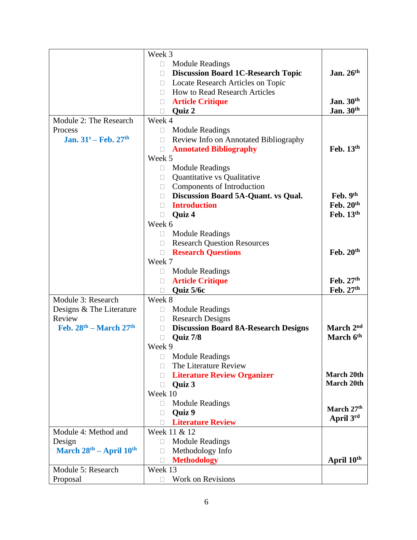| $\bullet$<br><b>Module Readings</b><br>Jan. 26th<br><b>Discussion Board 1C-Research Topic</b><br>$\bullet$<br>Locate Research Articles on Topic<br>$\bullet$<br><b>How to Read Research Articles</b><br>Jan. 30th<br><b>Article Critique</b><br>Jan. $30th$<br>Quiz 2<br>Module 2: The Research<br>Week 4<br><b>Module Readings</b><br>Process<br>$\bullet$<br>Jan. $31^s$ – Feb. $27^{\text{th}}$<br>Review Info on Annotated Bibliography<br>$\bullet$<br>Feb. $13th$<br><b>Annotated Bibliography</b><br>$\bullet$<br>Week 5<br><b>Module Readings</b><br>$\bullet$<br>Quantitative vs Qualitative<br>Components of Introduction<br>$\bullet$<br>Discussion Board 5A-Quant. vs Qual.<br>Feb. 9th<br>Feb. 20th<br><b>Introduction</b><br>Feb. 13th<br>Quiz 4<br>Week 6<br><b>Module Readings</b><br>$\bullet$<br><b>Research Question Resources</b><br>$\bullet$<br>Feb. $20th$<br><b>Research Questions</b><br>$\bullet$<br>Week 7<br><b>Module Readings</b><br>٠<br>Feb. 27th<br><b>Article Critique</b><br>$\bullet$<br>Feb. 27th<br>Quiz 5/6c<br>$\bullet$<br>Module 3: Research<br>Week 8<br>Designs & The Literature<br><b>Module Readings</b><br>$\bullet$<br><b>Research Designs</b><br>Review<br>$\bullet$<br>Feb. $28^{th}$ – March $27^{th}$<br>March 2 <sup>nd</sup><br><b>Discussion Board 8A-Research Designs</b><br>$\bullet$<br>March 6th<br>Quiz 7/8<br>$\bullet$<br>Week 9<br><b>Module Readings</b><br>The Literature Review<br>March 20th<br><b>Literature Review Organizer</b><br>$\bullet$<br>March 20th<br>Quiz 3<br>Week 10<br><b>Module Readings</b><br>$\bullet$<br>March 27th<br>Quiz 9<br>$\bullet$<br>April 3rd<br><b>Literature Review</b><br>Week 11 & 12<br>Module 4: Method and<br><b>Module Readings</b><br>Design<br>March $28th - April 10th$<br>Methodology Info<br>$\bullet$<br>April 10th<br><b>Methodology</b><br>$\bullet$<br>Module 5: Research<br>Week 13 |          | Week 3                   |  |
|--------------------------------------------------------------------------------------------------------------------------------------------------------------------------------------------------------------------------------------------------------------------------------------------------------------------------------------------------------------------------------------------------------------------------------------------------------------------------------------------------------------------------------------------------------------------------------------------------------------------------------------------------------------------------------------------------------------------------------------------------------------------------------------------------------------------------------------------------------------------------------------------------------------------------------------------------------------------------------------------------------------------------------------------------------------------------------------------------------------------------------------------------------------------------------------------------------------------------------------------------------------------------------------------------------------------------------------------------------------------------------------------------------------------------------------------------------------------------------------------------------------------------------------------------------------------------------------------------------------------------------------------------------------------------------------------------------------------------------------------------------------------------------------------------------------------------------------------------------------------------------------------------------|----------|--------------------------|--|
|                                                                                                                                                                                                                                                                                                                                                                                                                                                                                                                                                                                                                                                                                                                                                                                                                                                                                                                                                                                                                                                                                                                                                                                                                                                                                                                                                                                                                                                                                                                                                                                                                                                                                                                                                                                                                                                                                                        |          |                          |  |
|                                                                                                                                                                                                                                                                                                                                                                                                                                                                                                                                                                                                                                                                                                                                                                                                                                                                                                                                                                                                                                                                                                                                                                                                                                                                                                                                                                                                                                                                                                                                                                                                                                                                                                                                                                                                                                                                                                        |          |                          |  |
|                                                                                                                                                                                                                                                                                                                                                                                                                                                                                                                                                                                                                                                                                                                                                                                                                                                                                                                                                                                                                                                                                                                                                                                                                                                                                                                                                                                                                                                                                                                                                                                                                                                                                                                                                                                                                                                                                                        |          |                          |  |
|                                                                                                                                                                                                                                                                                                                                                                                                                                                                                                                                                                                                                                                                                                                                                                                                                                                                                                                                                                                                                                                                                                                                                                                                                                                                                                                                                                                                                                                                                                                                                                                                                                                                                                                                                                                                                                                                                                        |          |                          |  |
|                                                                                                                                                                                                                                                                                                                                                                                                                                                                                                                                                                                                                                                                                                                                                                                                                                                                                                                                                                                                                                                                                                                                                                                                                                                                                                                                                                                                                                                                                                                                                                                                                                                                                                                                                                                                                                                                                                        |          |                          |  |
|                                                                                                                                                                                                                                                                                                                                                                                                                                                                                                                                                                                                                                                                                                                                                                                                                                                                                                                                                                                                                                                                                                                                                                                                                                                                                                                                                                                                                                                                                                                                                                                                                                                                                                                                                                                                                                                                                                        |          |                          |  |
|                                                                                                                                                                                                                                                                                                                                                                                                                                                                                                                                                                                                                                                                                                                                                                                                                                                                                                                                                                                                                                                                                                                                                                                                                                                                                                                                                                                                                                                                                                                                                                                                                                                                                                                                                                                                                                                                                                        |          |                          |  |
|                                                                                                                                                                                                                                                                                                                                                                                                                                                                                                                                                                                                                                                                                                                                                                                                                                                                                                                                                                                                                                                                                                                                                                                                                                                                                                                                                                                                                                                                                                                                                                                                                                                                                                                                                                                                                                                                                                        |          |                          |  |
|                                                                                                                                                                                                                                                                                                                                                                                                                                                                                                                                                                                                                                                                                                                                                                                                                                                                                                                                                                                                                                                                                                                                                                                                                                                                                                                                                                                                                                                                                                                                                                                                                                                                                                                                                                                                                                                                                                        |          |                          |  |
|                                                                                                                                                                                                                                                                                                                                                                                                                                                                                                                                                                                                                                                                                                                                                                                                                                                                                                                                                                                                                                                                                                                                                                                                                                                                                                                                                                                                                                                                                                                                                                                                                                                                                                                                                                                                                                                                                                        |          |                          |  |
|                                                                                                                                                                                                                                                                                                                                                                                                                                                                                                                                                                                                                                                                                                                                                                                                                                                                                                                                                                                                                                                                                                                                                                                                                                                                                                                                                                                                                                                                                                                                                                                                                                                                                                                                                                                                                                                                                                        |          |                          |  |
|                                                                                                                                                                                                                                                                                                                                                                                                                                                                                                                                                                                                                                                                                                                                                                                                                                                                                                                                                                                                                                                                                                                                                                                                                                                                                                                                                                                                                                                                                                                                                                                                                                                                                                                                                                                                                                                                                                        |          |                          |  |
|                                                                                                                                                                                                                                                                                                                                                                                                                                                                                                                                                                                                                                                                                                                                                                                                                                                                                                                                                                                                                                                                                                                                                                                                                                                                                                                                                                                                                                                                                                                                                                                                                                                                                                                                                                                                                                                                                                        |          |                          |  |
|                                                                                                                                                                                                                                                                                                                                                                                                                                                                                                                                                                                                                                                                                                                                                                                                                                                                                                                                                                                                                                                                                                                                                                                                                                                                                                                                                                                                                                                                                                                                                                                                                                                                                                                                                                                                                                                                                                        |          |                          |  |
|                                                                                                                                                                                                                                                                                                                                                                                                                                                                                                                                                                                                                                                                                                                                                                                                                                                                                                                                                                                                                                                                                                                                                                                                                                                                                                                                                                                                                                                                                                                                                                                                                                                                                                                                                                                                                                                                                                        |          |                          |  |
|                                                                                                                                                                                                                                                                                                                                                                                                                                                                                                                                                                                                                                                                                                                                                                                                                                                                                                                                                                                                                                                                                                                                                                                                                                                                                                                                                                                                                                                                                                                                                                                                                                                                                                                                                                                                                                                                                                        |          |                          |  |
|                                                                                                                                                                                                                                                                                                                                                                                                                                                                                                                                                                                                                                                                                                                                                                                                                                                                                                                                                                                                                                                                                                                                                                                                                                                                                                                                                                                                                                                                                                                                                                                                                                                                                                                                                                                                                                                                                                        |          |                          |  |
|                                                                                                                                                                                                                                                                                                                                                                                                                                                                                                                                                                                                                                                                                                                                                                                                                                                                                                                                                                                                                                                                                                                                                                                                                                                                                                                                                                                                                                                                                                                                                                                                                                                                                                                                                                                                                                                                                                        |          |                          |  |
|                                                                                                                                                                                                                                                                                                                                                                                                                                                                                                                                                                                                                                                                                                                                                                                                                                                                                                                                                                                                                                                                                                                                                                                                                                                                                                                                                                                                                                                                                                                                                                                                                                                                                                                                                                                                                                                                                                        |          |                          |  |
|                                                                                                                                                                                                                                                                                                                                                                                                                                                                                                                                                                                                                                                                                                                                                                                                                                                                                                                                                                                                                                                                                                                                                                                                                                                                                                                                                                                                                                                                                                                                                                                                                                                                                                                                                                                                                                                                                                        |          |                          |  |
|                                                                                                                                                                                                                                                                                                                                                                                                                                                                                                                                                                                                                                                                                                                                                                                                                                                                                                                                                                                                                                                                                                                                                                                                                                                                                                                                                                                                                                                                                                                                                                                                                                                                                                                                                                                                                                                                                                        |          |                          |  |
|                                                                                                                                                                                                                                                                                                                                                                                                                                                                                                                                                                                                                                                                                                                                                                                                                                                                                                                                                                                                                                                                                                                                                                                                                                                                                                                                                                                                                                                                                                                                                                                                                                                                                                                                                                                                                                                                                                        |          |                          |  |
|                                                                                                                                                                                                                                                                                                                                                                                                                                                                                                                                                                                                                                                                                                                                                                                                                                                                                                                                                                                                                                                                                                                                                                                                                                                                                                                                                                                                                                                                                                                                                                                                                                                                                                                                                                                                                                                                                                        |          |                          |  |
|                                                                                                                                                                                                                                                                                                                                                                                                                                                                                                                                                                                                                                                                                                                                                                                                                                                                                                                                                                                                                                                                                                                                                                                                                                                                                                                                                                                                                                                                                                                                                                                                                                                                                                                                                                                                                                                                                                        |          |                          |  |
|                                                                                                                                                                                                                                                                                                                                                                                                                                                                                                                                                                                                                                                                                                                                                                                                                                                                                                                                                                                                                                                                                                                                                                                                                                                                                                                                                                                                                                                                                                                                                                                                                                                                                                                                                                                                                                                                                                        |          |                          |  |
|                                                                                                                                                                                                                                                                                                                                                                                                                                                                                                                                                                                                                                                                                                                                                                                                                                                                                                                                                                                                                                                                                                                                                                                                                                                                                                                                                                                                                                                                                                                                                                                                                                                                                                                                                                                                                                                                                                        |          |                          |  |
|                                                                                                                                                                                                                                                                                                                                                                                                                                                                                                                                                                                                                                                                                                                                                                                                                                                                                                                                                                                                                                                                                                                                                                                                                                                                                                                                                                                                                                                                                                                                                                                                                                                                                                                                                                                                                                                                                                        |          |                          |  |
|                                                                                                                                                                                                                                                                                                                                                                                                                                                                                                                                                                                                                                                                                                                                                                                                                                                                                                                                                                                                                                                                                                                                                                                                                                                                                                                                                                                                                                                                                                                                                                                                                                                                                                                                                                                                                                                                                                        |          |                          |  |
|                                                                                                                                                                                                                                                                                                                                                                                                                                                                                                                                                                                                                                                                                                                                                                                                                                                                                                                                                                                                                                                                                                                                                                                                                                                                                                                                                                                                                                                                                                                                                                                                                                                                                                                                                                                                                                                                                                        |          |                          |  |
|                                                                                                                                                                                                                                                                                                                                                                                                                                                                                                                                                                                                                                                                                                                                                                                                                                                                                                                                                                                                                                                                                                                                                                                                                                                                                                                                                                                                                                                                                                                                                                                                                                                                                                                                                                                                                                                                                                        |          |                          |  |
|                                                                                                                                                                                                                                                                                                                                                                                                                                                                                                                                                                                                                                                                                                                                                                                                                                                                                                                                                                                                                                                                                                                                                                                                                                                                                                                                                                                                                                                                                                                                                                                                                                                                                                                                                                                                                                                                                                        |          |                          |  |
|                                                                                                                                                                                                                                                                                                                                                                                                                                                                                                                                                                                                                                                                                                                                                                                                                                                                                                                                                                                                                                                                                                                                                                                                                                                                                                                                                                                                                                                                                                                                                                                                                                                                                                                                                                                                                                                                                                        |          |                          |  |
|                                                                                                                                                                                                                                                                                                                                                                                                                                                                                                                                                                                                                                                                                                                                                                                                                                                                                                                                                                                                                                                                                                                                                                                                                                                                                                                                                                                                                                                                                                                                                                                                                                                                                                                                                                                                                                                                                                        |          |                          |  |
|                                                                                                                                                                                                                                                                                                                                                                                                                                                                                                                                                                                                                                                                                                                                                                                                                                                                                                                                                                                                                                                                                                                                                                                                                                                                                                                                                                                                                                                                                                                                                                                                                                                                                                                                                                                                                                                                                                        |          |                          |  |
|                                                                                                                                                                                                                                                                                                                                                                                                                                                                                                                                                                                                                                                                                                                                                                                                                                                                                                                                                                                                                                                                                                                                                                                                                                                                                                                                                                                                                                                                                                                                                                                                                                                                                                                                                                                                                                                                                                        |          |                          |  |
|                                                                                                                                                                                                                                                                                                                                                                                                                                                                                                                                                                                                                                                                                                                                                                                                                                                                                                                                                                                                                                                                                                                                                                                                                                                                                                                                                                                                                                                                                                                                                                                                                                                                                                                                                                                                                                                                                                        |          |                          |  |
|                                                                                                                                                                                                                                                                                                                                                                                                                                                                                                                                                                                                                                                                                                                                                                                                                                                                                                                                                                                                                                                                                                                                                                                                                                                                                                                                                                                                                                                                                                                                                                                                                                                                                                                                                                                                                                                                                                        |          |                          |  |
|                                                                                                                                                                                                                                                                                                                                                                                                                                                                                                                                                                                                                                                                                                                                                                                                                                                                                                                                                                                                                                                                                                                                                                                                                                                                                                                                                                                                                                                                                                                                                                                                                                                                                                                                                                                                                                                                                                        |          |                          |  |
|                                                                                                                                                                                                                                                                                                                                                                                                                                                                                                                                                                                                                                                                                                                                                                                                                                                                                                                                                                                                                                                                                                                                                                                                                                                                                                                                                                                                                                                                                                                                                                                                                                                                                                                                                                                                                                                                                                        |          |                          |  |
|                                                                                                                                                                                                                                                                                                                                                                                                                                                                                                                                                                                                                                                                                                                                                                                                                                                                                                                                                                                                                                                                                                                                                                                                                                                                                                                                                                                                                                                                                                                                                                                                                                                                                                                                                                                                                                                                                                        |          |                          |  |
|                                                                                                                                                                                                                                                                                                                                                                                                                                                                                                                                                                                                                                                                                                                                                                                                                                                                                                                                                                                                                                                                                                                                                                                                                                                                                                                                                                                                                                                                                                                                                                                                                                                                                                                                                                                                                                                                                                        |          |                          |  |
|                                                                                                                                                                                                                                                                                                                                                                                                                                                                                                                                                                                                                                                                                                                                                                                                                                                                                                                                                                                                                                                                                                                                                                                                                                                                                                                                                                                                                                                                                                                                                                                                                                                                                                                                                                                                                                                                                                        |          |                          |  |
|                                                                                                                                                                                                                                                                                                                                                                                                                                                                                                                                                                                                                                                                                                                                                                                                                                                                                                                                                                                                                                                                                                                                                                                                                                                                                                                                                                                                                                                                                                                                                                                                                                                                                                                                                                                                                                                                                                        |          |                          |  |
|                                                                                                                                                                                                                                                                                                                                                                                                                                                                                                                                                                                                                                                                                                                                                                                                                                                                                                                                                                                                                                                                                                                                                                                                                                                                                                                                                                                                                                                                                                                                                                                                                                                                                                                                                                                                                                                                                                        |          |                          |  |
|                                                                                                                                                                                                                                                                                                                                                                                                                                                                                                                                                                                                                                                                                                                                                                                                                                                                                                                                                                                                                                                                                                                                                                                                                                                                                                                                                                                                                                                                                                                                                                                                                                                                                                                                                                                                                                                                                                        |          |                          |  |
|                                                                                                                                                                                                                                                                                                                                                                                                                                                                                                                                                                                                                                                                                                                                                                                                                                                                                                                                                                                                                                                                                                                                                                                                                                                                                                                                                                                                                                                                                                                                                                                                                                                                                                                                                                                                                                                                                                        | Proposal | <b>Work on Revisions</b> |  |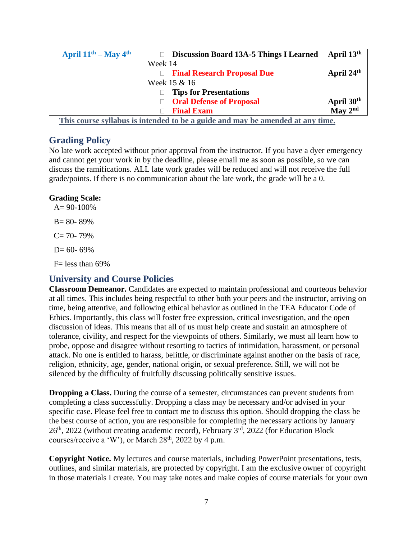| April $11th - May 4th$ | <b>Discussion Board 13A-5 Things I Learned</b>            | April 13 <sup>th</sup>                        |
|------------------------|-----------------------------------------------------------|-----------------------------------------------|
|                        | Week 14                                                   |                                               |
|                        | • Final Research Proposal Due                             | April 24 <sup>th</sup>                        |
|                        | Week 15 & 16                                              |                                               |
|                        | <b>Tips for Presentations</b><br>٠                        |                                               |
|                        | • Oral Defense of Proposal                                |                                               |
|                        | <b>Final Exam</b><br>$\bullet$                            | April 30 <sup>th</sup><br>May 2 <sup>nd</sup> |
| $T^*$                  | $\mathbf{L}$ , $\mathbf{L}$ , $\mathbf{L}$ , $\mathbf{L}$ |                                               |

**This course syllabus is intended to be a guide and may be amended at any time.**

## **Grading Policy**

No late work accepted without prior approval from the instructor. If you have a dyer emergency and cannot get your work in by the deadline, please email me as soon as possible, so we can discuss the ramifications. ALL late work grades will be reduced and will not receive the full grade/points. If there is no communication about the late work, the grade will be a 0.

## **Grading Scale:**

 $A = 90-100%$  $B = 80 - 89%$  $C= 70- 79%$  $D= 60- 69%$ 

 $F=$  less than 69%

## **University and Course Policies**

**Classroom Demeanor.** Candidates are expected to maintain professional and courteous behavior at all times. This includes being respectful to other both your peers and the instructor, arriving on time, being attentive, and following ethical behavior as outlined in the TEA Educator Code of Ethics. Importantly, this class will foster free expression, critical investigation, and the open discussion of ideas. This means that all of us must help create and sustain an atmosphere of tolerance, civility, and respect for the viewpoints of others. Similarly, we must all learn how to probe, oppose and disagree without resorting to tactics of intimidation, harassment, or personal attack. No one is entitled to harass, belittle, or discriminate against another on the basis of race, religion, ethnicity, age, gender, national origin, or sexual preference. Still, we will not be silenced by the difficulty of fruitfully discussing politically sensitive issues.

**Dropping a Class.** During the course of a semester, circumstances can prevent students from completing a class successfully. Dropping a class may be necessary and/or advised in your specific case. Please feel free to contact me to discuss this option. Should dropping the class be the best course of action, you are responsible for completing the necessary actions by January  $26<sup>th</sup>$ , 2022 (without creating academic record), February  $3<sup>rd</sup>$ , 2022 (for Education Block courses/receive a 'W'), or March  $28<sup>th</sup>$ ,  $2022$  by 4 p.m.

**Copyright Notice.** My lectures and course materials, including PowerPoint presentations, tests, outlines, and similar materials, are protected by copyright. I am the exclusive owner of copyright in those materials I create. You may take notes and make copies of course materials for your own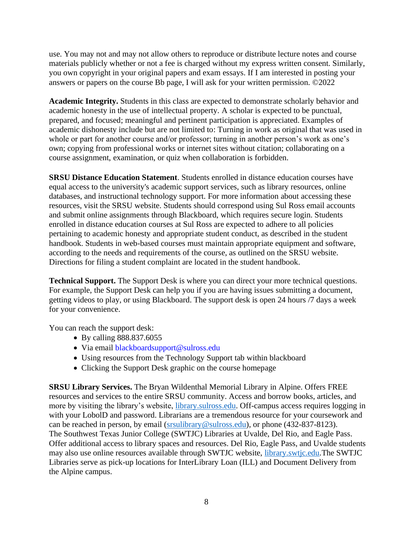use. You may not and may not allow others to reproduce or distribute lecture notes and course materials publicly whether or not a fee is charged without my express written consent. Similarly, you own copyright in your original papers and exam essays. If I am interested in posting your answers or papers on the course Bb page, I will ask for your written permission. ©2022

**Academic Integrity.** Students in this class are expected to demonstrate scholarly behavior and academic honesty in the use of intellectual property. A scholar is expected to be punctual, prepared, and focused; meaningful and pertinent participation is appreciated. Examples of academic dishonesty include but are not limited to: Turning in work as original that was used in whole or part for another course and/or professor; turning in another person's work as one's own; copying from professional works or internet sites without citation; collaborating on a course assignment, examination, or quiz when collaboration is forbidden.

**SRSU Distance Education Statement**. Students enrolled in distance education courses have equal access to the university's academic support services, such as library resources, online databases, and instructional technology support. For more information about accessing these resources, visit the SRSU website. Students should correspond using Sul Ross email accounts and submit online assignments through Blackboard, which requires secure login. Students enrolled in distance education courses at Sul Ross are expected to adhere to all policies pertaining to academic honesty and appropriate student conduct, as described in the student handbook. Students in web-based courses must maintain appropriate equipment and software, according to the needs and requirements of the course, as outlined on the SRSU website. Directions for filing a student complaint are located in the student handbook.

**Technical Support.** The Support Desk is where you can direct your more technical questions. For example, the Support Desk can help you if you are having issues submitting a document, getting videos to play, or using Blackboard. The support desk is open 24 hours /7 days a week for your convenience.

You can reach the support desk:

- By calling 888.837.6055
- Via email blackboardsupport@sulross.edu
- Using resources from the Technology Support tab within blackboard
- Clicking the Support Desk graphic on the course homepage

**SRSU Library Services.** The Bryan Wildenthal Memorial Library in Alpine. Offers FREE resources and services to the entire SRSU community. Access and borrow books, articles, and more by visiting the library's website, [library.sulross.edu.](https://library.sulross.edu/) Off-campus access requires logging in with your LobolD and password. Librarians are a tremendous resource for your coursework and can be reached in person, by email [\(srsulibrary@sulross.edu\)](mailto:srsulibrary@sulross.edu), or phone (432-837-8123). The Southwest Texas Junior College (SWTJC) Libraries at Uvalde, Del Rio, and Eagle Pass. Offer additional access to library spaces and resources. Del Rio, Eagle Pass, and Uvalde students may also use online resources available through SWTJC website, [library.swtjc.edu.](https://library.swtjc.edu/)The SWTJC Libraries serve as pick-up locations for InterLibrary Loan (ILL) and Document Delivery from the Alpine campus.